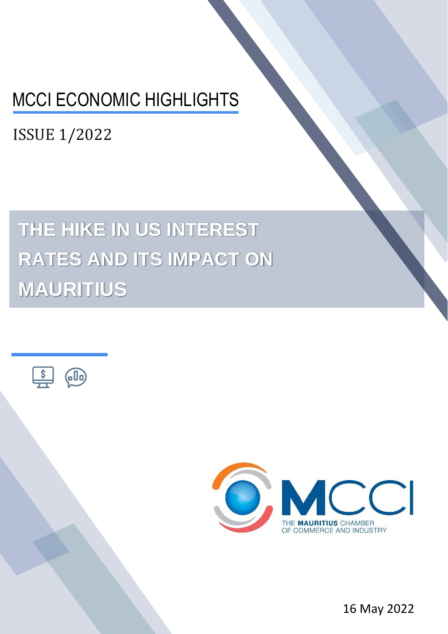# MCCI ECONOMIC HIGHLIGHTS

ISSUE 1/2022

# **THE HIKE IN US INTEREST RATES AND ITS IMPACT ON MAURITIUS**



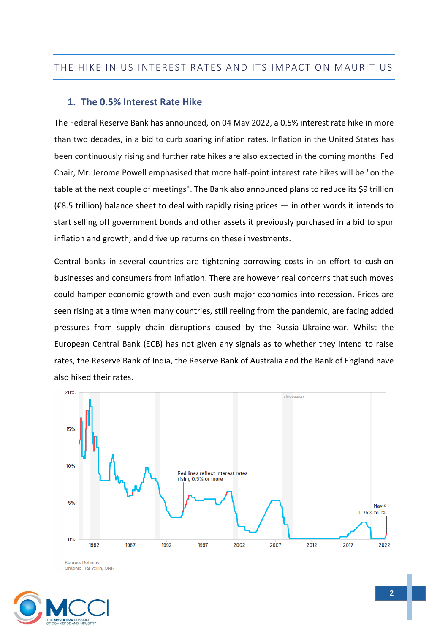## **1. The 0.5% Interest Rate Hike**

The Federal Reserve Bank has announced, on 04 May 2022, a 0.5% interest rate hike in more than two decades, in a bid to curb soaring inflation rates. Inflation in the United States has been continuously rising and further rate hikes are also expected in the coming months. Fed Chair, Mr. Jerome Powell emphasised that more half-point interest rate hikes will be "on the table at the next couple of meetings". The Bank also announced plans to reduce its \$9 trillion (€8.5 trillion) balance sheet to deal with rapidly rising prices — in other words it intends to start selling off government bonds and other assets it previously purchased in a bid to spur inflation and growth, and drive up returns on these investments.

Central banks in several countries are tightening borrowing costs in an effort to cushion businesses and consumers from inflation. There are however real concerns that such moves could hamper economic growth and even push major economies into recession. Prices are seen rising at a time when many countries, still reeling from the pandemic, are facing added pressures from supply chain disruptions caused by the Russia-Ukraine war. Whilst the European Central Bank (ECB) has not given any signals as to whether they intend to raise rates, the Reserve Bank of India, the Reserve Bank of Australia and the Bank of England have also hiked their rates.



Source: Refinitiv Graphic: Tal Yellin, CNN

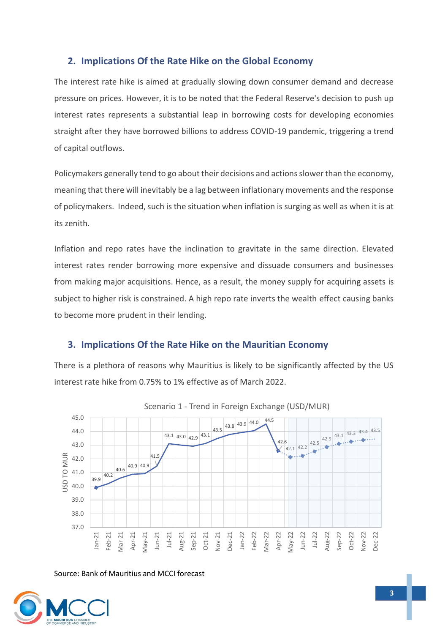# **2. Implications Of the Rate Hike on the Global Economy**

The interest rate hike is aimed at gradually slowing down consumer demand and decrease pressure on prices. However, it is to be noted that the Federal Reserve's decision to push up interest rates represents a substantial leap in borrowing costs for developing economies straight after they have borrowed billions to address COVID-19 pandemic, triggering a trend of capital outflows.

Policymakers generally tend to go about their decisions and actions slower than the economy, meaning that there will inevitably be a lag between inflationary movements and the response of policymakers. Indeed, such is the situation when inflation is surging as well as when it is at its zenith.

Inflation and repo rates have the inclination to gravitate in the same direction. Elevated interest rates render borrowing more expensive and dissuade consumers and businesses from making major acquisitions. Hence, as a result, the money supply for acquiring assets is subject to higher risk is constrained. A high repo rate inverts the wealth effect causing banks to become more prudent in their lending.

# **3. Implications Of the Rate Hike on the Mauritian Economy**

There is a plethora of reasons why Mauritius is likely to be significantly affected by the US interest rate hike from 0.75% to 1% effective as of March 2022.



Scenario 1 - Trend in Foreign Exchange (USD/MUR)

Source: Bank of Mauritius and MCCI forecast

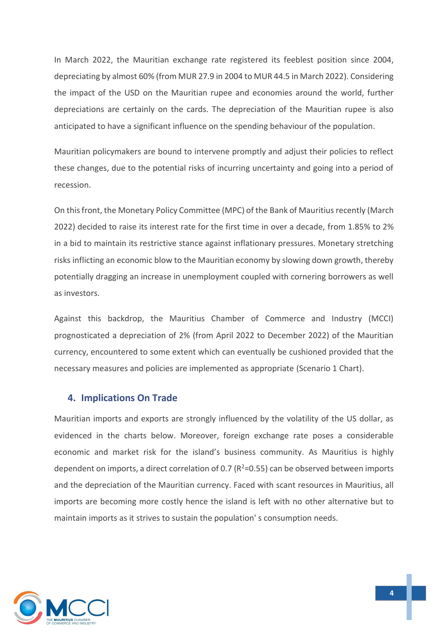In March 2022, the Mauritian exchange rate registered its feeblest position since 2004, depreciating by almost 60% (from MUR 27.9 in 2004 to MUR 44.5 in March 2022). Considering the impact of the USD on the Mauritian rupee and economies around the world, further depreciations are certainly on the cards. The depreciation of the Mauritian rupee is also anticipated to have a significant influence on the spending behaviour of the population.

Mauritian policymakers are bound to intervene promptly and adjust their policies to reflect these changes, due to the potential risks of incurring uncertainty and going into a period of recession.

On this front, the Monetary Policy Committee (MPC) of the Bank of Mauritius recently (March 2022) decided to raise its interest rate for the first time in over a decade, from 1.85% to 2% in a bid to maintain its restrictive stance against inflationary pressures. Monetary stretching risks inflicting an economic blow to the Mauritian economy by slowing down growth, thereby potentially dragging an increase in unemployment coupled with cornering borrowers as well as investors.

Against this backdrop, the Mauritius Chamber of Commerce and Industry (MCCI) prognosticated a depreciation of 2% (from April 2022 to December 2022) of the Mauritian currency, encountered to some extent which can eventually be cushioned provided that the necessary measures and policies are implemented as appropriate (Scenario 1 Chart).

#### **4. Implications On Trade**

Mauritian imports and exports are strongly influenced by the volatility of the US dollar, as evidenced in the charts below. Moreover, foreign exchange rate poses a considerable economic and market risk for the island's business community. As Mauritius is highly dependent on imports, a direct correlation of 0.7 ( $R^2$ =0.55) can be observed between imports and the depreciation of the Mauritian currency. Faced with scant resources in Mauritius, all imports are becoming more costly hence the island is left with no other alternative but to maintain imports as it strives to sustain the population' s consumption needs.

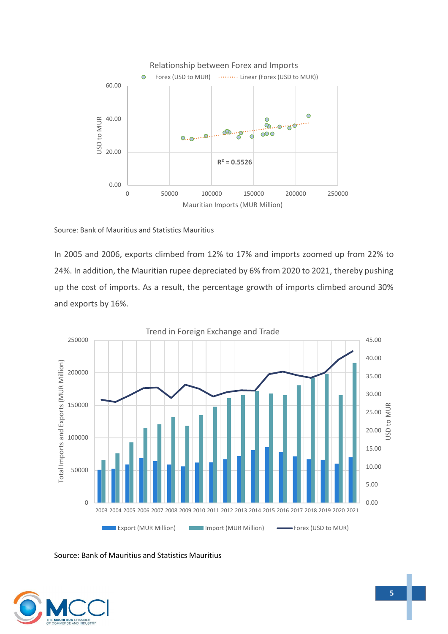

Source: Bank of Mauritius and Statistics Mauritius

In 2005 and 2006, exports climbed from 12% to 17% and imports zoomed up from 22% to 24%. In addition, the Mauritian rupee depreciated by 6% from 2020 to 2021, thereby pushing up the cost of imports. As a result, the percentage growth of imports climbed around 30% and exports by 16%.



Source: Bank of Mauritius and Statistics Mauritius

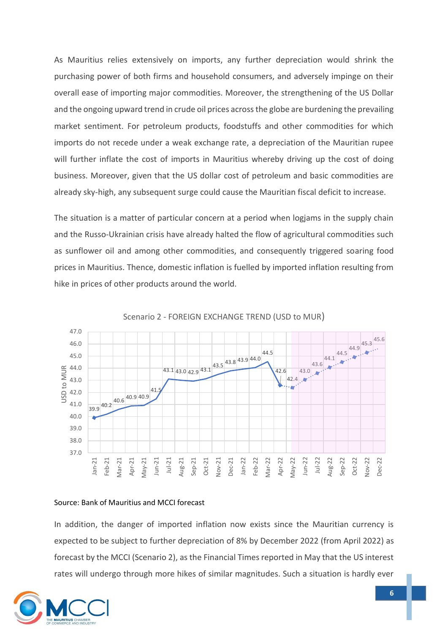As Mauritius relies extensively on imports, any further depreciation would shrink the purchasing power of both firms and household consumers, and adversely impinge on their overall ease of importing major commodities. Moreover, the strengthening of the US Dollar and the ongoing upward trend in crude oil prices across the globe are burdening the prevailing market sentiment. For petroleum products, foodstuffs and other commodities for which imports do not recede under a weak exchange rate, a depreciation of the Mauritian rupee will further inflate the cost of imports in Mauritius whereby driving up the cost of doing business. Moreover, given that the US dollar cost of petroleum and basic commodities are already sky-high, any subsequent surge could cause the Mauritian fiscal deficit to increase.

The situation is a matter of particular concern at a period when logjams in the supply chain and the Russo-Ukrainian crisis have already halted the flow of agricultural commodities such as sunflower oil and among other commodities, and consequently triggered soaring food prices in Mauritius. Thence, domestic inflation is fuelled by imported inflation resulting from hike in prices of other products around the world.



Scenario 2 - FOREIGN EXCHANGE TREND (USD to MUR)

#### Source: Bank of Mauritius and MCCI forecast

In addition, the danger of imported inflation now exists since the Mauritian currency is expected to be subject to further depreciation of 8% by December 2022 (from April 2022) as forecast by the MCCI (Scenario 2), as the Financial Times reported in May that the US interest rates will undergo through more hikes of similar magnitudes. Such a situation is hardly ever

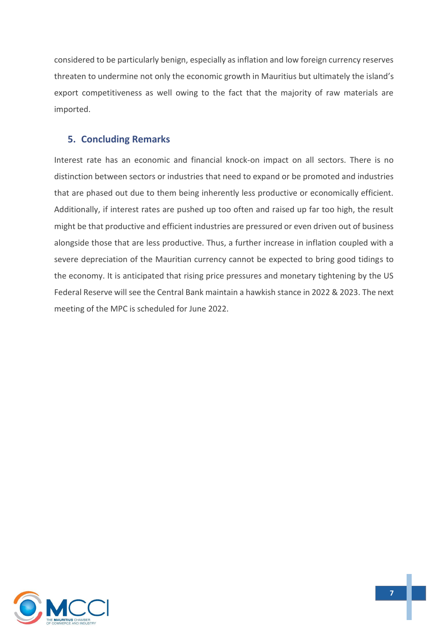considered to be particularly benign, especially as inflation and low foreign currency reserves threaten to undermine not only the economic growth in Mauritius but ultimately the island's export competitiveness as well owing to the fact that the majority of raw materials are imported.

# **5. Concluding Remarks**

Interest rate has an economic and financial knock-on impact on all sectors. There is no distinction between sectors or industries that need to expand or be promoted and industries that are phased out due to them being inherently less productive or economically efficient. Additionally, if interest rates are pushed up too often and raised up far too high, the result might be that productive and efficient industries are pressured or even driven out of business alongside those that are less productive. Thus, a further increase in inflation coupled with a severe depreciation of the Mauritian currency cannot be expected to bring good tidings to the economy. It is anticipated that rising price pressures and monetary tightening by the US Federal Reserve will see the Central Bank maintain a hawkish stance in 2022 & 2023. The next meeting of the MPC is scheduled for June 2022.